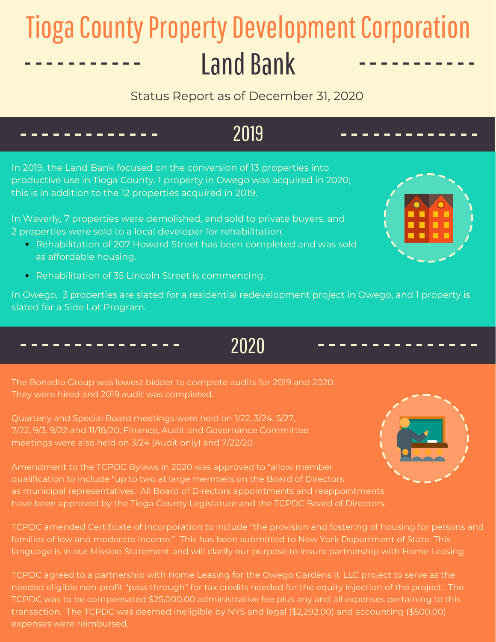# Tioga County Property Development Corporation Land Bank

Status Report as of December 31, 2020

In 2019, the Land Bank focused on the conversion of 13 properties into productive use in Tioga County. 1 property in Owego was acquired in 2020; this is in addition to the 12 properties acquired in 2019.

In Waverly, 7 properties were demolished, and sold to private buyers, and 2 properties were sold to a local developer for rehabilitation.

- Rehabilitation of 207 Howard Street has been completed and was sold as affordable housing.
- Rehabilitation of 35 Lincoln Street is commencing.

In Owego, 3 properties are slated for a residential redevelopment project in Owego, and 1 property is slated for a Side Lot Program.

The Bonadio Group was lowest bidder to complete audits for 2019 and 2020. They were hired and 2019 audit was completed.

Quarterly and Special Board meetings were held on 1/22, 3/24, 5/27, 7/22, 9/3, 9/22 and 11/18/20. Finance, Audit and Governance Committee meetings were also held on 3/24 (Audit only) and 7/22/20.

Amendment to the TCPDC Bylaws in 2020 was approved to "allow member qualification to include "up to two at large members on the Board of Directors as municipal representatives. All Board of Directors appointments and reappointments have been approved by the Tioga County Legislature and the TCPDC Board of Directors.

TCPDC amended Certificate of Incorporation to include "the provision and fostering of housing for persons and families of low and moderate income." This has been submitted to New York Department of State. This language is in our Mission Statement and will clarify our purpose to insure partnership with Home Leasing.

TCPDC agreed to a partnership with Home Leasing for the Owego Gardens II, LLC project to serve as the needed eligible non-profit "pass through" for tax credits needed for the equity injection of the project. The TCPDC was to be compensated \$25,000.00 administrative fee plus any and all expenses pertaining to this transaction. The TCPDC was deemed ineligible by NYS and legal (\$2,292.00) and accounting (\$500.00) expenses were reimbursed.

# 2019